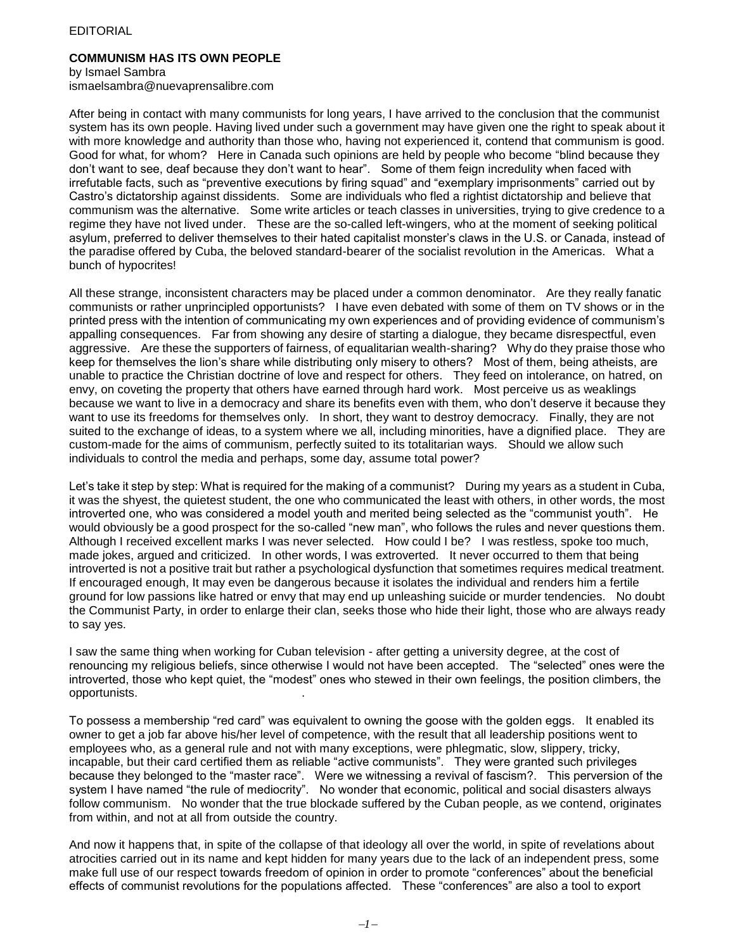## EDITORIAL

## **COMMUNISM HAS ITS OWN PEOPLE**

by Ismael Sambra

ismaelsambra@nuevaprensalibre.com

After being in contact with many communists for long years, I have arrived to the conclusion that the communist system has its own people. Having lived under such a government may have given one the right to speak about it with more knowledge and authority than those who, having not experienced it, contend that communism is good. Good for what, for whom? Here in Canada such opinions are held by people who become "blind because they don't want to see, deaf because they don't want to hear". Some of them feign incredulity when faced with irrefutable facts, such as "preventive executions by firing squad" and "exemplary imprisonments" carried out by Castro's dictatorship against dissidents. Some are individuals who fled a rightist dictatorship and believe that communism was the alternative. Some write articles or teach classes in universities, trying to give credence to a regime they have not lived under. These are the so-called left-wingers, who at the moment of seeking political asylum, preferred to deliver themselves to their hated capitalist monster's claws in the U.S. or Canada, instead of the paradise offered by Cuba, the beloved standard-bearer of the socialist revolution in the Americas. What a bunch of hypocrites!

All these strange, inconsistent characters may be placed under a common denominator. Are they really fanatic communists or rather unprincipled opportunists? I have even debated with some of them on TV shows or in the printed press with the intention of communicating my own experiences and of providing evidence of communism's appalling consequences. Far from showing any desire of starting a dialogue, they became disrespectful, even aggressive. Are these the supporters of fairness, of equalitarian wealth-sharing? Why do they praise those who keep for themselves the lion's share while distributing only misery to others? Most of them, being atheists, are unable to practice the Christian doctrine of love and respect for others. They feed on intolerance, on hatred, on envy, on coveting the property that others have earned through hard work. Most perceive us as weaklings because we want to live in a democracy and share its benefits even with them, who don't deserve it because they want to use its freedoms for themselves only. In short, they want to destroy democracy. Finally, they are not suited to the exchange of ideas, to a system where we all, including minorities, have a dignified place. They are custom-made for the aims of communism, perfectly suited to its totalitarian ways. Should we allow such individuals to control the media and perhaps, some day, assume total power?

Let's take it step by step: What is required for the making of a communist? During my years as a student in Cuba, it was the shyest, the quietest student, the one who communicated the least with others, in other words, the most introverted one, who was considered a model youth and merited being selected as the "communist youth". He would obviously be a good prospect for the so-called "new man", who follows the rules and never questions them. Although I received excellent marks I was never selected. How could I be? I was restless, spoke too much, made jokes, argued and criticized. In other words, I was extroverted. It never occurred to them that being introverted is not a positive trait but rather a psychological dysfunction that sometimes requires medical treatment. If encouraged enough, It may even be dangerous because it isolates the individual and renders him a fertile ground for low passions like hatred or envy that may end up unleashing suicide or murder tendencies. No doubt the Communist Party, in order to enlarge their clan, seeks those who hide their light, those who are always ready to say yes.

I saw the same thing when working for Cuban television - after getting a university degree, at the cost of renouncing my religious beliefs, since otherwise I would not have been accepted. The "selected" ones were the introverted, those who kept quiet, the "modest" ones who stewed in their own feelings, the position climbers, the opportunists. .

To possess a membership "red card" was equivalent to owning the goose with the golden eggs. It enabled its owner to get a job far above his/her level of competence, with the result that all leadership positions went to employees who, as a general rule and not with many exceptions, were phlegmatic, slow, slippery, tricky, incapable, but their card certified them as reliable "active communists". They were granted such privileges because they belonged to the "master race". Were we witnessing a revival of fascism?. This perversion of the system I have named "the rule of mediocrity". No wonder that economic, political and social disasters always follow communism. No wonder that the true blockade suffered by the Cuban people, as we contend, originates from within, and not at all from outside the country.

And now it happens that, in spite of the collapse of that ideology all over the world, in spite of revelations about atrocities carried out in its name and kept hidden for many years due to the lack of an independent press, some make full use of our respect towards freedom of opinion in order to promote "conferences" about the beneficial effects of communist revolutions for the populations affected. These "conferences" are also a tool to export